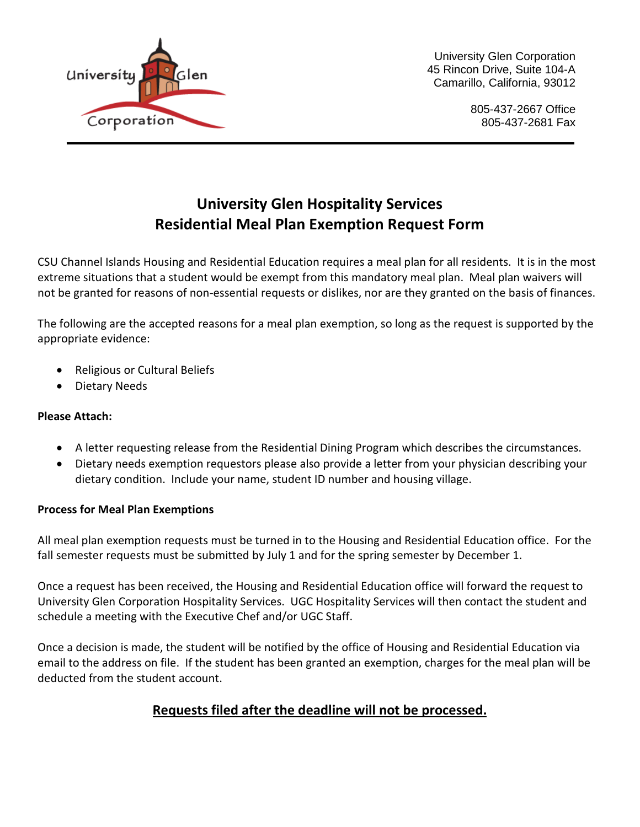

University Glen Corporation 45 Rincon Drive, Suite 104-A Camarillo, California, 93012

> 805-437-2667 Office 805-437-2681 Fax

# **University Glen Hospitality Services Residential Meal Plan Exemption Request Form**

CSU Channel Islands Housing and Residential Education requires a meal plan for all residents. It is in the most extreme situations that a student would be exempt from this mandatory meal plan. Meal plan waivers will not be granted for reasons of non-essential requests or dislikes, nor are they granted on the basis of finances.

The following are the accepted reasons for a meal plan exemption, so long as the request is supported by the appropriate evidence:

- Religious or Cultural Beliefs
- Dietary Needs

### **Please Attach:**

- A letter requesting release from the Residential Dining Program which describes the circumstances.
- Dietary needs exemption requestors please also provide a letter from your physician describing your dietary condition. Include your name, student ID number and housing village.

#### **Process for Meal Plan Exemptions**

All meal plan exemption requests must be turned in to the Housing and Residential Education office. For the fall semester requests must be submitted by July 1 and for the spring semester by December 1.

Once a request has been received, the Housing and Residential Education office will forward the request to University Glen Corporation Hospitality Services. UGC Hospitality Services will then contact the student and schedule a meeting with the Executive Chef and/or UGC Staff.

Once a decision is made, the student will be notified by the office of Housing and Residential Education via email to the address on file. If the student has been granted an exemption, charges for the meal plan will be deducted from the student account.

### **Requests filed after the deadline will not be processed.**